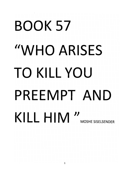# BOOK 57 "WHO ARISES TO KILL YOU PREEMPT AND KILL HIM "MOSHE SISELSENDER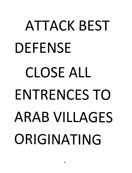# ATTACK BFST DEFENSE CLOSE ALL ENTRENCES TO ARAB VILLAGES ORIGINATING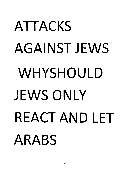# ATTACKS AGAINST **JEWS**  WHYSHOULD **JEWS** ONLY REACT AND **LET**  ARABS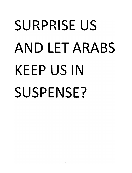#### SURPRISE US AND LET ARABS KEEP US IN SUSPENSE?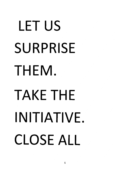# LET US SURPRISE THEM. TAKE THE INITIATIVE. CLOSE ALL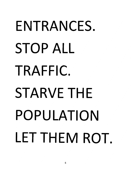## ENTRANCES. STOP ALL TRAFFIC. STARVE THE POPULATION LET THEM ROT.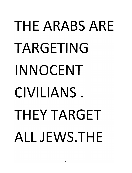## THE ARABS ARE TARGETING INNOCENT CIVILIANS. THEY TARGET **ALL JEWS.THE**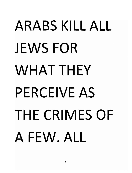## ARABS KILL ALL JEWS FOR WHAT THEY PERCEIVE AS THE CRIMES OF A FEW. ALL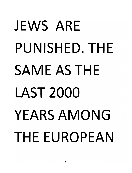## JEWS ARE PUNISHED. THE SAME AS THE LAST 2000 YEARS AMONG THE EUROPEAN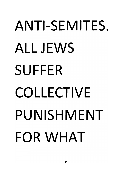## **ANTI-SEMITES.**  ALL JEWS **SUFFER COLLECTIVE PUNISHMENT FOR** WHAT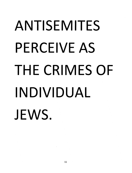#### ANTISEMITES PERCEIVE AS THE CRIMES OF INDIVIDUAL JEWS.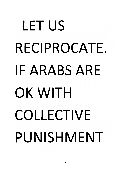## LET US RECIPROCATE. **IF** ARABS ARE OK WITH COLLECTIVE PUNISHMENT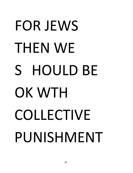## FOR JEWS THEN WE S HOULD BE OK WTH COLLECTIVE PUNISHMENT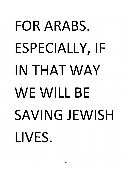### FOR ARABS. ESPECIALLY, IF IN THAT WAY WE WILL BE SAVING JEWISH LIVES.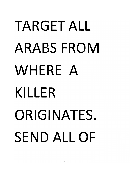## **TARGET ALL ARABS FROM** WHERE A KILLER ORIGINATES. **SEND ALL OF**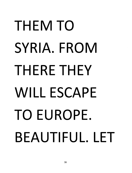## THEM TO SYRIA. FROM THERE THEY WILL ESCAPE TO EUROPE. BEAUTIFUL. LET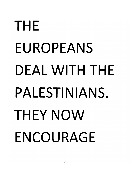#### THE EUROPEANS DEAL WITH THE PALESTINIANS. THEY NOW ENCOURAGE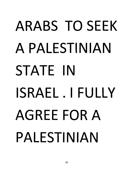### **ARABS TO SEEK** A PALESTINIAN STATE IN ISRAEL.IFULLY **AGREE FOR A** PALESTINIAN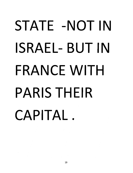#### STATE -NOT IN ISRAEL- BUT IN FRANCE WITH PARIS THEIR CAPITAL.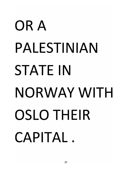## OR A PALESTINIAN **STATE IN** NORWAY WITH **OSLO THEIR** CAPITAL.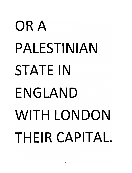## OR A PALESTINIAN **STATE IN** ENGLAND WITH LONDON THEIR CAPITAL.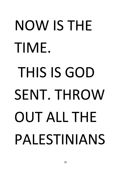# NOW IS THE TIME. THIS IS GOD SENT. THROW **OUT ALL THE** PALESTINIANS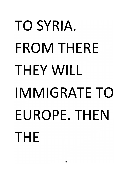## TO SYRIA. **FROM THERE** THEY WILL IMMIGRATE TO EUROPE. THEN THE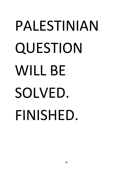#### **PALESTINIAN QUESTION WILL BE SOLVED. FINISHED.**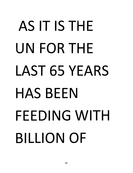# AS IT IS THE UN FOR THE LAST 65 YEARS HAS BEEN FEEDING WITH BILLION OF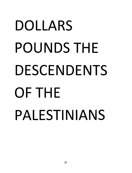## **DOLLARS POUNDS THE DESCENDENTS OFTHE PALESTINIANS**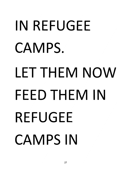# IN REFUGEE CAMPS. LET THEM NOW FFFD THEM IN REFUGEE **CAMPS IN**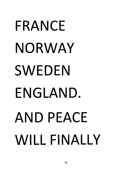# FRANCE NORWAY SWEDEN ENGLAND. AND PEACE WILL FINALLY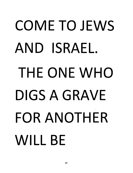# COME TO JEWS AND ISRAEL. THE ONE WHO DIGS A GRAVE FOR ANOTHER **WILL BF**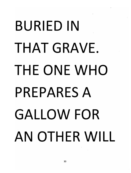## BURIED IN THAT GRAVE. THE ONE WHO PREPARES A GALLOW FOR AN OTHER WILL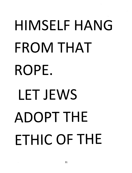# HIMSELF HANG FROM THAT ROPE. LET JEWS ADOPT THE FTHIC OF THE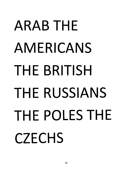## **ARAB THE AMERICANS THE BRITISH THE RUSSIANS THE POLES THE CZECHS**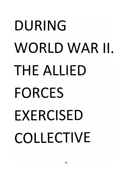# DURING WORLD WAR II. THE ALLIED **FORCES EXERCISED** COLLECTIVE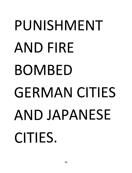## PUNISHMENT AND FIRE **BOMBED GERMAN CITIES** AND JAPANESE CITIES.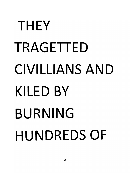### THEY TRAGETTED **CIVILLIANS AND KILED BY BURNING HUNDREDS OF**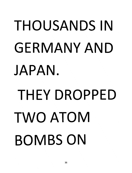# **THOUSANDS IN GERMANY AND** JAPAN. THFY DROPPED TWO ATOM **ROMBS ON**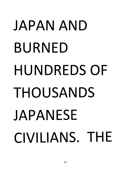# JAPAN AND **BURNED HUNDREDS OF** THOUSANDS JAPANESE CIVILIANS. THE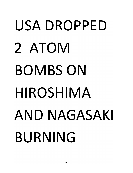## USA DROPPED 2 ATOM **BOMBS ON** HIROSHIMA AND NAGASAKI **BURNING**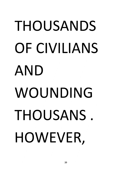## THOUSANDS OF CIVILIANS AND WOUNDING THOUSANS. HOWEVER,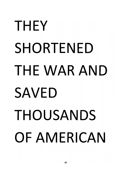## **THEY SHORTENED** THE WAR AND **SAVED** THOUSANDS OF AMERICAN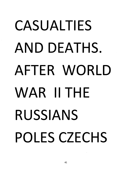## **CASUALTIFS** AND DEATHS. AFTER WORLD WAR **II** THE RUSSIANS POLES CZECHS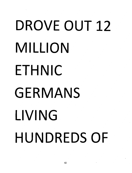# DROVE OUT 12 MILLION ETHNIC GERMANS LIVING HUNDREDS OF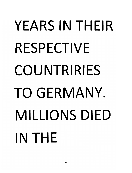### YEARS IN THEIR RESPECTIVE COUNTRIRIES TO GERMANY. MILLIONS DIED IN THE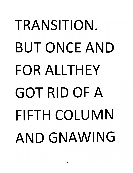## TRANSITION. **BUT ONCE AND** FOR ALLTHEY GOT RID OF A FIFTH COLUMN AND GNAWING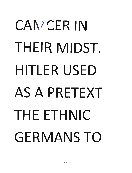## CAN/CER IN THEIR MIDST. HITLER USED AS A PRETEXT THE ETHNIC **GERMANS TO**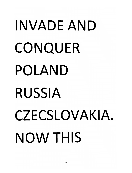## INVADE AND CONQUER POLAND **RUSSIA** CZECSLOVAKIA. **NOW THIS**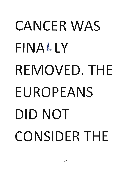## CANCER WAS FINAL LV REMOVED. THE EUROPEANS DID NOT CONSIDER THE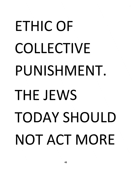# ETHIC OF COLLECTIVE PUNISHMENT. THE JEWS TODAY SHOULD NOT ACT MORE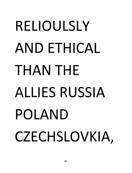## RELIOULSLY AND ETHICAL THAN THE ALLI ES RUSSIA POLAND CZECHSLOVKIA,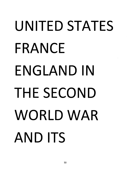## UNITED STATES FRANCE ENGLAND IN THE SECOND WORLDWAR AND ITS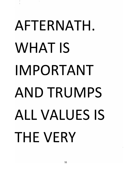# AFTERNATH. **WHAT IS** IMPORTANT **AND TRUMPS ALL VALUES IS** THE VERY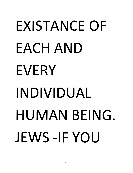### **FXISTANCE OF** FACH AND EVERY INDIVIDUAL HUMAN BEING. JEWS-IF YOU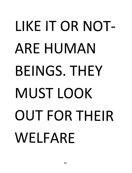# **LIKE** IT OR NOT-ARE HUMAN BEINGS. THEY MUST LOOK OUT FOR THEIR WELFARE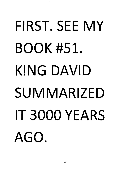## FIRST. SEE MY **BOOK #51.** KING DAVID **SUMMARIZED** IT 3000 YEARS AGO.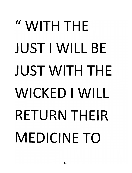## " WITH THE **JUST I WILL BE JUST WITH THE** WICKED I WILL **RETURN THEIR MEDICINE TO**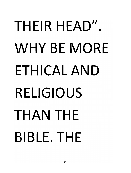## THEIR HEAD". WHY BE MORF ETHICAL AND **RELIGIOUS** THAN THE **BIBLE. THF**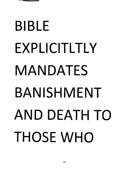

## **BIBLE** EXPLICITLTLY MANDATES BANISHMENT AND DEATH TO THOSE WHO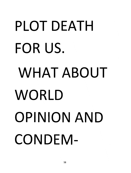# PLOT DEATH FOR US. WHAT ABOUT WORLD **OPINION AND** CONDEM-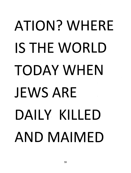## **ATION? WHERF** IS THE WORLD **TODAY WHEN JEWS ARE** DAILY KILLED AND MAIMED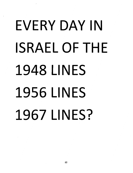## **FVERY DAY IN ISRAEL OF THE 1948 LINES 1956 LINES** 1967 LINES?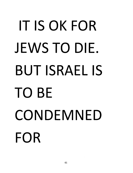#### IT IS OK FOR JEWS TO DIE. BUT ISRAEL IS TO BE CONDEMNED FOR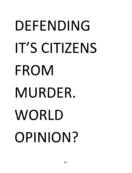## DEFENDING IT'S CITIZENS FROM MURDER. WORLD OPINION?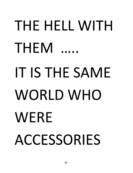# THE HELL WITH THEM IT IS THE SAME WORLD WHO WERE ACCESSORIES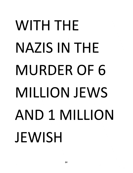## WITH THE **NAZIS IN THE MURDER OF 6 MILLION JEWS** AND 1 MILLION JEWISH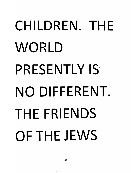## CHILDREN. THE WORLD PRESENTLY IS NO DIFFERENT. THE FRIENDS OF THE JEWS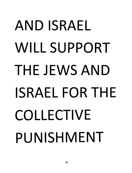## AND **ISRAEL**  WILL SUPPORT **THE JEWS** AND **ISRAEL FOR THE COLLECTIVE PUNISHMENT**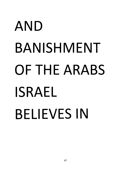#### AND BANISHMENT OF THE ARABS **ISRAEL BELIEVES IN**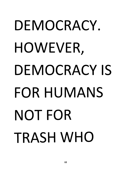## DFMOCRACY. HOWEVER, DEMOCRACY IS FOR HUMANS NOT FOR **TRASH WHO**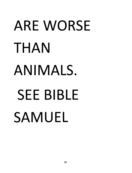# **ARE WORSE** THAN ANIMALS. **SEE BIBLE SAMUEL**